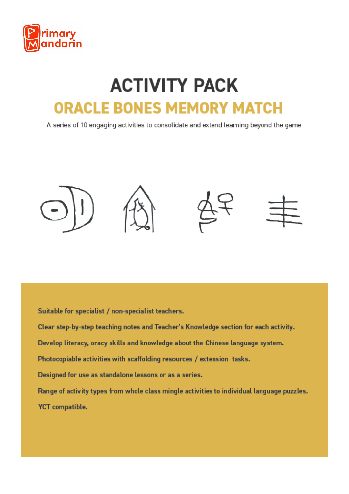

# **ACTIVITY PACK ORACLE BONES MEMORY MATCH**

A series of 10 engaging activities to consolidate and extend learning beyond the game



Suitable for specialist / non-specialist teachers.

Clear step-by-step teaching notes and Teacher's Knowledge section for each activity.

Develop literacy, oracy skills and knowledge about the Chinese language system.

Photocopiable activities with scaffolding resources / extension tasks.

Designed for use as standalone lessons or as a series.

Range of activity types from whole class mingle activities to individual language puzzles. **YCT** compatible.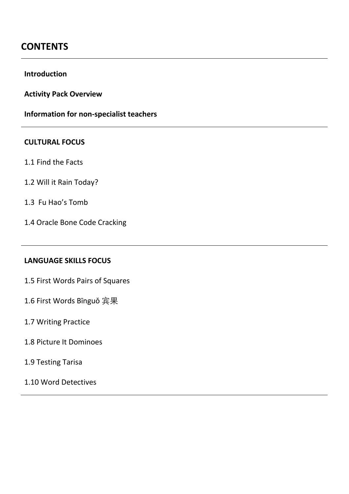# **CONTENTS**

#### **Introduction**

**Activity Pack Overview**

**Information for non-specialist teachers**

#### **CULTURAL FOCUS**

- 1.1 Find the Facts
- 1.2 Will it Rain Today?
- 1.3 Fu Hao's Tomb
- 1.4 Oracle Bone Code Cracking

#### **LANGUAGE SKILLS FOCUS**

- 1.5 First Words Pairs of Squares
- 1.6 First Words Bīnguǒ 宾果
- 1.7 Writing Practice
- 1.8 Picture It Dominoes
- 1.9 Testing Tarisa
- 1.10 Word Detectives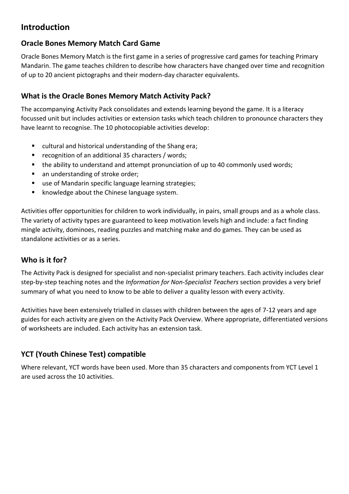# **Introduction**

#### **Oracle Bones Memory Match Card Game**

Oracle Bones Memory Match is the first game in a series of progressive card games for teaching Primary Mandarin. The game teaches children to describe how characters have changed over time and recognition of up to 20 ancient pictographs and their modern-day character equivalents.

#### **What is the Oracle Bones Memory Match Activity Pack?**

The accompanying Activity Pack consolidates and extends learning beyond the game. It is a literacy focussed unit but includes activities or extension tasks which teach children to pronounce characters they have learnt to recognise. The 10 photocopiable activities develop:

- cultural and historical understanding of the Shang era;
- recognition of an additional 35 characters / words;
- the ability to understand and attempt pronunciation of up to 40 commonly used words;
- an understanding of stroke order;
- use of Mandarin specific language learning strategies;
- knowledge about the Chinese language system.

Activities offer opportunities for children to work individually, in pairs, small groups and as a whole class. The variety of activity types are guaranteed to keep motivation levels high and include: a fact finding mingle activity, dominoes, reading puzzles and matching make and do games. They can be used as standalone activities or as a series.

#### **Who is it for?**

The Activity Pack is designed for specialist and non-specialist primary teachers. Each activity includes clear step-by-step teaching notes and the *Information for Non-Specialist Teachers* section provides a very brief summary of what you need to know to be able to deliver a quality lesson with every activity.

Activities have been extensively trialled in classes with children between the ages of 7-12 years and age guides for each activity are given on the Activity Pack Overview. Where appropriate, differentiated versions of worksheets are included. Each activity has an extension task.

#### **YCT (Youth Chinese Test) compatible**

Where relevant, YCT words have been used. More than 35 characters and components from YCT Level 1 are used across the 10 activities.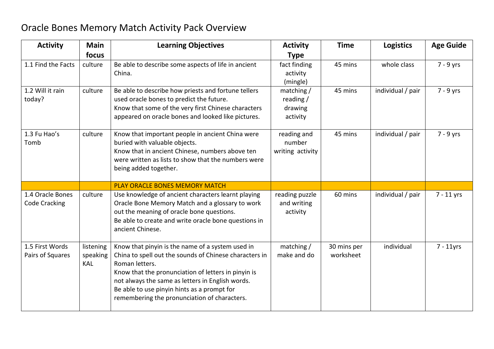# Oracle Bones Memory Match Activity Pack Overview

| <b>Main</b><br><b>Activity</b><br><b>Learning Objectives</b> |                                     | <b>Activity</b>                                                                                                                                                                                                                                                                                                                        | <b>Time</b>                                  | <b>Logistics</b>         | <b>Age Guide</b>  |              |
|--------------------------------------------------------------|-------------------------------------|----------------------------------------------------------------------------------------------------------------------------------------------------------------------------------------------------------------------------------------------------------------------------------------------------------------------------------------|----------------------------------------------|--------------------------|-------------------|--------------|
|                                                              | focus                               |                                                                                                                                                                                                                                                                                                                                        | <b>Type</b>                                  |                          |                   |              |
| 1.1 Find the Facts                                           | culture                             | Be able to describe some aspects of life in ancient<br>China.                                                                                                                                                                                                                                                                          | fact finding<br>activity<br>(mingle)         | 45 mins                  | whole class       | $7 - 9$ yrs  |
| 1.2 Will it rain<br>today?                                   | culture                             | Be able to describe how priests and fortune tellers<br>used oracle bones to predict the future.<br>Know that some of the very first Chinese characters<br>appeared on oracle bones and looked like pictures.                                                                                                                           | matching/<br>reading/<br>drawing<br>activity | 45 mins                  | individual / pair | 7 - 9 yrs    |
| 1.3 Fu Hao's<br>Tomb                                         | culture                             | Know that important people in ancient China were<br>buried with valuable objects.<br>Know that in ancient Chinese, numbers above ten<br>were written as lists to show that the numbers were<br>being added together.                                                                                                                   | reading and<br>number<br>writing activity    | 45 mins                  | individual / pair | $7 - 9$ yrs  |
|                                                              |                                     | <b>PLAY ORACLE BONES MEMORY MATCH</b>                                                                                                                                                                                                                                                                                                  |                                              |                          |                   |              |
| 1.4 Oracle Bones<br><b>Code Cracking</b>                     | culture                             | Use knowledge of ancient characters learnt playing<br>Oracle Bone Memory Match and a glossary to work<br>out the meaning of oracle bone questions.<br>Be able to create and write oracle bone questions in<br>ancient Chinese.                                                                                                         | reading puzzle<br>and writing<br>activity    | 60 mins                  | individual / pair | $7 - 11$ yrs |
| 1.5 First Words<br>Pairs of Squares                          | listening<br>speaking<br><b>KAL</b> | Know that pinyin is the name of a system used in<br>China to spell out the sounds of Chinese characters in<br>Roman letters.<br>Know that the pronunciation of letters in pinyin is<br>not always the same as letters in English words.<br>Be able to use pinyin hints as a prompt for<br>remembering the pronunciation of characters. | matching /<br>make and do                    | 30 mins per<br>worksheet | individual        | $7 - 11$ yrs |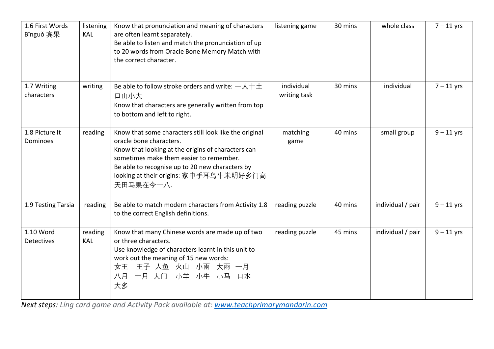| 1.6 First Words<br>Bīnguǒ 宾果 | listening<br>KAL      | Know that pronunciation and meaning of characters<br>are often learnt separately.<br>Be able to listen and match the pronunciation of up<br>to 20 words from Oracle Bone Memory Match with<br>the correct character.                                                                         | listening game             | 30 mins | whole class       | $7 - 11$ yrs |
|------------------------------|-----------------------|----------------------------------------------------------------------------------------------------------------------------------------------------------------------------------------------------------------------------------------------------------------------------------------------|----------------------------|---------|-------------------|--------------|
| 1.7 Writing<br>characters    | writing               | Be able to follow stroke orders and write: $-\lambda+\pm$<br>口山小大<br>Know that characters are generally written from top<br>to bottom and left to right.                                                                                                                                     | individual<br>writing task | 30 mins | individual        | $7 - 11$ yrs |
| 1.8 Picture It<br>Dominoes   | reading               | Know that some characters still look like the original<br>oracle bone characters.<br>Know that looking at the origins of characters can<br>sometimes make them easier to remember.<br>Be able to recognise up to 20 new characters by<br>looking at their origins: 家中手耳鸟牛米明好多门高<br>天田马果在今一八. | matching<br>game           | 40 mins | small group       | $9 - 11$ yrs |
| 1.9 Testing Tarsia           | reading               | Be able to match modern characters from Activity 1.8<br>to the correct English definitions.                                                                                                                                                                                                  | reading puzzle             | 40 mins | individual / pair | $9 - 11$ yrs |
| 1.10 Word<br>Detectives      | reading<br><b>KAL</b> | Know that many Chinese words are made up of two<br>or three characters.<br>Use knowledge of characters learnt in this unit to<br>work out the meaning of 15 new words:<br>女王 王子 人鱼 火山 小雨 大雨 一月<br>八月 十月 大门 小羊 小牛 小马 口水<br>大多                                                                 | reading puzzle             | 45 mins | individual / pair | $9 - 11$ yrs |

*Next steps: Líng card game and Activity Pack available at: [www.teachprimarymandarin.com](http://www.teachprimarymandarin.com/)*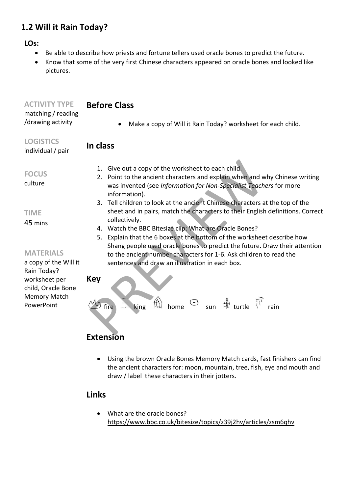# **1.2 Will it Rain Today?**

#### **LOs:**

- Be able to describe how priests and fortune tellers used oracle bones to predict the future.
- Know that some of the very first Chinese characters appeared on oracle bones and looked like pictures.

| <b>ACTIVITY TYPE</b><br>matching / reading<br>/drawing activity          | <b>Before Class</b><br>Make a copy of Will it Rain Today? worksheet for each child.                                                                                                                                                                                                                      |
|--------------------------------------------------------------------------|----------------------------------------------------------------------------------------------------------------------------------------------------------------------------------------------------------------------------------------------------------------------------------------------------------|
| <b>LOGISTICS</b><br>individual / pair                                    | In class                                                                                                                                                                                                                                                                                                 |
| <b>FOCUS</b><br>culture                                                  | 1. Give out a copy of the worksheet to each child.<br>2. Point to the ancient characters and explain when and why Chinese writing<br>was invented (see Information for Non-Specialist Teachers for more<br>information).<br>3. Tell children to look at the ancient Chinese characters at the top of the |
| <b>TIME</b><br>45 mins                                                   | sheet and in pairs, match the characters to their English definitions. Correct<br>collectively.<br>4. Watch the BBC Bitesize clip: What are Oracle Bones?<br>5. Explain that the 6 boxes at the bottom of the worksheet describe how                                                                     |
| <b>MATERIALS</b><br>a copy of the Will it<br>Rain Today?                 | Shang people used oracle bones to predict the future. Draw their attention<br>to the ancient number characters for 1-6. Ask children to read the<br>sentences and draw an illustration in each box.                                                                                                      |
| worksheet per<br>child, Oracle Bone<br><b>Memory Match</b><br>PowerPoint | Key<br>home $\Theta$ sun $\frac{1}{4}$ turtle $\frac{1}{4}$<br>図<br>king<br>fire                                                                                                                                                                                                                         |
|                                                                          | <b>Extension</b>                                                                                                                                                                                                                                                                                         |
|                                                                          | Using the brown Oracle Bones Memory Match cards, fast finishers can find<br>$\bullet$<br>the ancient characters for: moon, mountain, tree, fish, eye and mouth and<br>draw / label these characters in their jotters.                                                                                    |

### **Links**

• What are the oracle bones? <https://www.bbc.co.uk/bitesize/topics/z39j2hv/articles/zsm6qhv>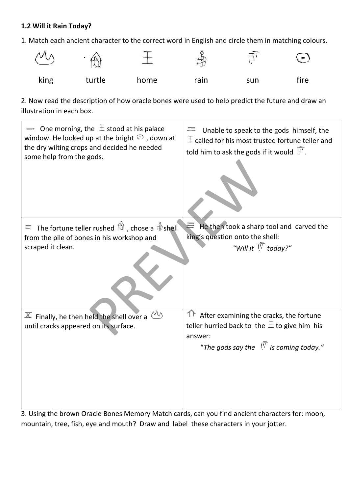#### **1.2 Will it Rain Today?**

1. Match each ancient character to the correct word in English and circle them in matching colours.



2. Now read the description of how oracle bones were used to help predict the future and draw an illustration in each box.

| — One morning, the $\pm$ stood at his palace                                                                                                                                         | $=$                                                                                                                                                          |
|--------------------------------------------------------------------------------------------------------------------------------------------------------------------------------------|--------------------------------------------------------------------------------------------------------------------------------------------------------------|
| window. He looked up at the bright $\odot$ , down at                                                                                                                                 | Unable to speak to the gods himself, the                                                                                                                     |
| the dry wilting crops and decided he needed                                                                                                                                          | $\pm$ called for his most trusted fortune teller and                                                                                                         |
| some help from the gods.                                                                                                                                                             | told him to ask the gods if it would $\sqrt{N}$ .                                                                                                            |
| $\equiv$ The fortune teller rushed $^{\textcircled{\tiny{\textcircled{\tiny{\tiny \textup{th}}}}}}$ , chose a $^{\textcircled{\tiny{\textcircled{\tiny{\tiny \textup{th}}}}}}$ shell | He then took a sharp tool and carved the                                                                                                                     |
| from the pile of bones in his workshop and                                                                                                                                           | king's question onto the shell:                                                                                                                              |
| scraped it clean.                                                                                                                                                                    | "Will it $\bar{\mathbb{F}}$ today?"                                                                                                                          |
| $X$ Finally, he then held the shell over a<br>until cracks appeared on its surface.                                                                                                  | After examining the cracks, the fortune<br>teller hurried back to the $\pm$ to give him his<br>answer:<br>"The gods say the $\sqrt[N]{\ }$ is coming today." |

3. Using the brown Oracle Bones Memory Match cards, can you find ancient characters for: moon, mountain, tree, fish, eye and mouth? Draw and label these characters in your jotter.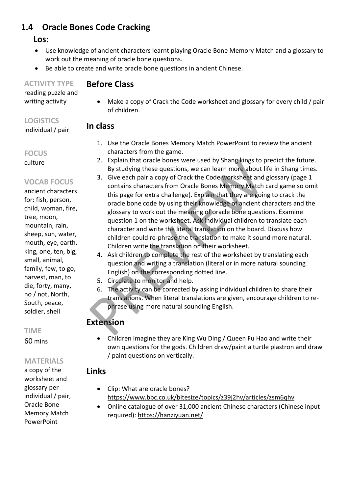# **1.4 Oracle Bones Code Cracking**

#### **Los:**

- Use knowledge of ancient characters learnt playing Oracle Bone Memory Match and a glossary to work out the meaning of oracle bone questions.
- Be able to create and write oracle bone questions in ancient Chinese.

| <b>ACTIVITY TYPE</b>                   | <b>Before Class</b>                                                                                                                                          |
|----------------------------------------|--------------------------------------------------------------------------------------------------------------------------------------------------------------|
| reading puzzle and<br>writing activity | Make a copy of Crack the Code worksheet and glossary for every child / pair<br>$\bullet$<br>of children.                                                     |
| <b>LOGISTICS</b><br>individual / pair  | In class                                                                                                                                                     |
| <b>FOCUS</b>                           | 1. Use the Oracle Bones Memory Match PowerPoint to review the ancient<br>characters from the game.                                                           |
| culture                                | Explain that oracle bones were used by Shang kings to predict the future.<br>2.<br>By studying these questions, we can learn more about life in Shang times. |
| <b>VOCAB FOCUS</b>                     | Give each pair a copy of Crack the Code worksheet and glossary (page 1<br>3.<br>contains charactors from Oraclo Rongs Mamory Match card game so omit         |

ancient characters for: fish, person, child, woman, fire, tree, moon, mountain, rain, sheep, sun, water, mouth, eye, earth, king, one, ten, big, small, animal, family, few, to go, harvest, man, to die, forty, many, no / not, North, South, peace, soldier, shell

**TIME**

60 mins

#### **MATERIALS**

a copy of the worksheet and glossary per individual / pair, Oracle Bone Memory Match PowerPoint

- contains characters from Oracle Bones Memory Match card game so omit this page for extra challenge). Explain that they are going to crack the
- oracle bone code by using their knowledge of ancient characters and the glossary to work out the meaning of oracle bone questions. Examine question 1 on the worksheet. Ask individual children to translate each character and write the literal translation on the board. Discuss how children could re-phrase the translation to make it sound more natural. Children write the translation on their worksheet. 2. Explain that oracle bones were used by Shang kings to portom and the systudying these questions, we can learn more about 1<br>3. Give each pair a copy of Crack the Code worksheet and contains characters from Oracle Bones M
	- 4. Ask children to complete the rest of the worksheet by translating each question and writing a translation (literal or in more natural sounding English) on the corresponding dotted line.
	- 5. Circulate to monitor and help.
	- 6. The activity can be corrected by asking individual children to share their translations. When literal translations are given, encourage children to rephrase using more natural sounding English.

#### **Extension**

• Children imagine they are King Wu Ding / Queen Fu Hao and write their own questions for the gods. Children draw/paint a turtle plastron and draw / paint questions on vertically.

#### **Links**

- Clip: What are oracle bones? <https://www.bbc.co.uk/bitesize/topics/z39j2hv/articles/zsm6qhv>
- Online catalogue of over 31,000 ancient Chinese characters (Chinese input required):<https://hanziyuan.net/>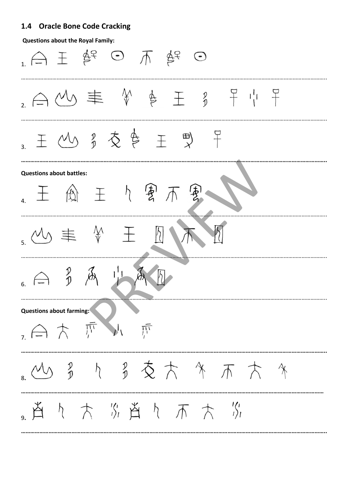#### 1.4 Oracle Bone Code Cracking

**Questions about the Royal Family:** 

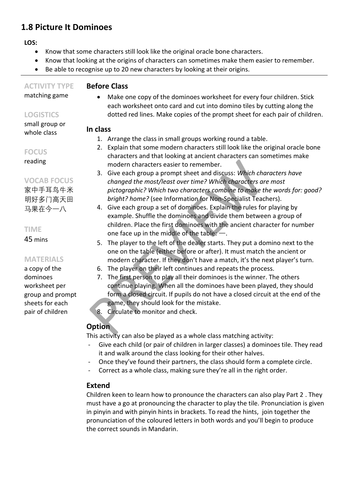# **1.8 Picture It Dominoes**

#### **LOS:**

- Know that some characters still look like the original oracle bone characters.
- Know that looking at the origins of characters can sometimes make them easier to remember.
- Be able to recognise up to 20 new characters by looking at their origins.

#### **ACTIVITY TYPE Before Class**

# **LOGISTICS**

matching game

• Make one copy of the dominoes worksheet for every four children. Stick each worksheet onto card and cut into domino tiles by cutting along the dotted red lines. Make copies of the prompt sheet for each pair of children.

#### **In class**

- 1. Arrange the class in small groups working round a table.
- 2. Explain that some modern characters still look like the original oracle bone characters and that looking at ancient characters can sometimes make modern characters easier to remember.
- 3. Give each group a prompt sheet and discuss: *Which characters have changed the most/least over time? Which characters are most pictographic? Which two characters combine to make the words for: good? bright? home?* (see Information for Non-Specialist Teachers).
- 4. Give each group a set of dominoes. Explain the rules for playing by example. Shuffle the dominoes and divide them between a group of children. Place the first dominoes with the ancient character for number one face up in the middle of the table: 一. modern characters easier to remember.<br>
3. Give each group a prompt sheet and discuss: Which choronoged the most/least over time? Which characters and pictographic? Which two characters combine to make t.<br>
bright? home? (se
	- 5. The player to the left of the dealer starts. They put a domino next to the one on the table (either before or after). It must match the ancient or modern character. If they don't have a match, it's the next player's turn.
	- 6. The player on their left continues and repeats the process.
	- 7. The first person to play all their dominoes is the winner. The others continue playing. When all the dominoes have been played, they should form a closed circuit. If pupils do not have a closed circuit at the end of the game, they should look for the mistake.
- 8. Circulate to monitor and check.

# **Option**

This activity can also be played as a whole class matching activity:

- Give each child (or pair of children in larger classes) a dominoes tile. They read it and walk around the class looking for their other halves.
- Once they've found their partners, the class should form a complete circle.
- Correct as a whole class, making sure they're all in the right order.

#### **Extend**

Children keen to learn how to pronounce the characters can also play Part 2 . They must have a go at pronouncing the character to play the tile. Pronunciation is given in pinyin and with pinyin hints in brackets. To read the hints, join together the pronunciation of the coloured letters in both words and you'll begin to produce the correct sounds in Mandarin.

# whole class **FOCUS**

small group or

reading

**VOCAB FOCUS** 家中手耳鸟牛米 明好多门高天田 马果在今一八

#### **TIME**

45 mins

#### **MATERIALS**

a copy of the dominoes worksheet per group and prompt sheets for each pair of children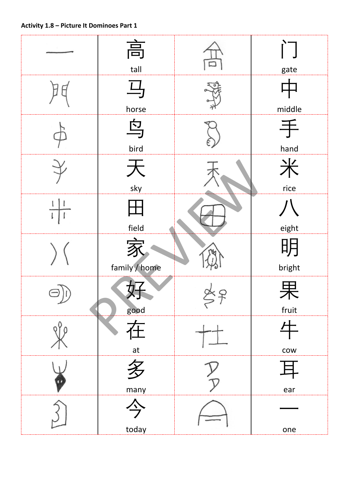

|               | 高<br>tall                         | gate                                 |
|---------------|-----------------------------------|--------------------------------------|
|               | $\overline{\mathcal{L}}$<br>horse | middle                               |
|               | 鸟<br>bird                         | 手<br>hand                            |
|               | sky                               | 米<br>rice                            |
|               | field                             | eight                                |
|               | family / home                     | 明<br>bright                          |
| $\mathcal{L}$ | good                              | fruit                                |
|               | 在<br>$\frac{at}{t}$               | $\bm{\mathcal{H}}$<br>$\mathsf{row}$ |
|               | many                              | $\mathbf{H}$<br>ear                  |
|               | today                             | one                                  |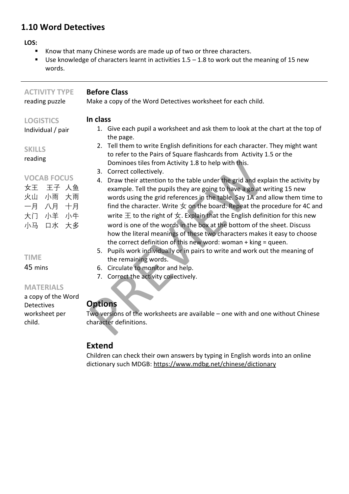# **1.10 Word Detectives**

#### **LOS:**

 $\overline{\phantom{0}}$ 

- Know that many Chinese words are made up of two or three characters.
- Use knowledge of characters learnt in activities 1.5 1.8 to work out the meaning of 15 new words.

| <b>ACTIVITY TYPE</b><br>reading puzzle                                                           | <b>Before Class</b><br>Make a copy of the Word Detectives worksheet for each child.                                                                                                                                                                                                                                                                                                                                                                                                                                                                                                                                                                                                                                                                        |  |  |  |
|--------------------------------------------------------------------------------------------------|------------------------------------------------------------------------------------------------------------------------------------------------------------------------------------------------------------------------------------------------------------------------------------------------------------------------------------------------------------------------------------------------------------------------------------------------------------------------------------------------------------------------------------------------------------------------------------------------------------------------------------------------------------------------------------------------------------------------------------------------------------|--|--|--|
| <b>LOGISTICS</b><br>Individual / pair                                                            | In class<br>1. Give each pupil a worksheet and ask them to look at the chart at the top of<br>the page.<br>2. Tell them to write English definitions for each character. They might want                                                                                                                                                                                                                                                                                                                                                                                                                                                                                                                                                                   |  |  |  |
| <b>SKILLS</b><br>reading                                                                         | to refer to the Pairs of Square flashcards from Activity 1.5 or the<br>Dominoes tiles from Activity 1.8 to help with this.                                                                                                                                                                                                                                                                                                                                                                                                                                                                                                                                                                                                                                 |  |  |  |
| <b>VOCAB FOCUS</b><br>王子 人鱼<br>女王<br>火山<br>小雨<br>大雨<br>一月<br>十月<br>八月<br>大门 小羊<br>小牛<br>小马 口水 大多 | 3. Correct collectively.<br>4. Draw their attention to the table under the grid and explain the activity by<br>example. Tell the pupils they are going to have a go at writing 15 new<br>words using the grid references in the table. Say 1A and allow them time to<br>find the character. Write $\pm$ on the board. Repeat the procedure for 4C and<br>write $\pm$ to the right of $\pm$ . Explain that the English definition for this new<br>word is one of the words in the box at the bottom of the sheet. Discuss<br>how the literal meanings of these two characters makes it easy to choose<br>the correct definition of this new word: woman $+$ king $=$ queen.<br>5. Pupils work individually or in pairs to write and work out the meaning of |  |  |  |
| <b>TIME</b><br>45 mins                                                                           | the remaining words.<br>6. Circulate to monitor and help.                                                                                                                                                                                                                                                                                                                                                                                                                                                                                                                                                                                                                                                                                                  |  |  |  |
|                                                                                                  | Correct the activity collectively.<br>7.                                                                                                                                                                                                                                                                                                                                                                                                                                                                                                                                                                                                                                                                                                                   |  |  |  |
| <b>MATERIALS</b>                                                                                 |                                                                                                                                                                                                                                                                                                                                                                                                                                                                                                                                                                                                                                                                                                                                                            |  |  |  |
| a copy of the Word<br><b>Detectives</b><br>worksheet per<br>child.                               | <b>Options</b><br>Two versions of the worksheets are available – one with and one without Chinese<br>character definitions.                                                                                                                                                                                                                                                                                                                                                                                                                                                                                                                                                                                                                                |  |  |  |

## **Extend**

Children can check their own answers by typing in English words into an online dictionary such MDGB:<https://www.mdbg.net/chinese/dictionary>